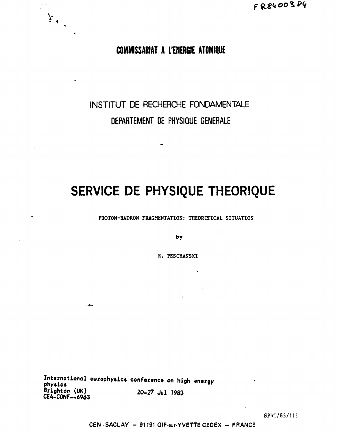## COMMISSARIAT A L'ENERGIE ATOMIQUE

 $\mathbb{F}_{\mathbb{C}_{\infty}}$ 

# INSTITUT DE RECHERCHE FONDAMENTALE DEPARTEMENT DE PHYSIQUE GENERALE

# SERVICE DE PHYSIQUE THEORIQUE

PHOTON-HADRON FRAGMENTATION: THEORITICAL SITUATION

by

R. PESCHANSKI

International europhysics conference on high energy physics Brighton (UK)<br>CEA-CONF--6963 20-27 Jul 1983

SPhT/83/111

CEN - SACLAY - 91191 GIF-sur-YVETTE CEDEX - FRANCE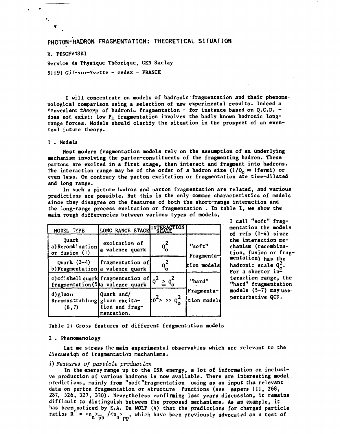### **PHOTON-HADRON FRAGMENTATION: THEORETICAL SITUATION**

### **R. PESCHANSKI**

**Service de Physique Théorique, CEN Saclay 91191 Gif-sur-Yvette - cedex - FRANCE** 

**I will concentrate on models of hadronic fragmentation and their phenomenological comparison using a selection of new experimental results. Indeed a convenient** *theory* **of hadronic fragmentation - for instance based on Q.C.D.**  does not exist: low P<sub>1</sub> fragmentation involves the badly known hadronic long**range forces. Models should clarify the situation in the prospect of an eventual future theory.** 

#### **1 . Models**

**Most modern fragmentation models rely on the assumption of an underlying mechanism involving the parton-constituents of the fragmenting hadron. These partons are excited in a first stage, then interact and fragment into hadrons.**  The interaction range may be of the order of a hadron size  $(1/Q_0 \approx 1$  fermi) or **even less. On contrary the parton excitation or fragmentation are time-dilated and long range.** 

**In such a picture hadron and parton fragmentation are related, and various predictions are possible. But this is the only common characteristics of models since they disagree on the features of both the short-range interaction and the long-range process excitation or fragmentation . In table I, we show the main rough différencies between various types of models.** 

| MODEL TYPE                                           | LONG RANGE STAGE INTERACTION                                                              |                               |                           |
|------------------------------------------------------|-------------------------------------------------------------------------------------------|-------------------------------|---------------------------|
| Quark<br>a) Recombination<br>or fusion $(l)$         | excitation of<br>a valence quark                                                          | $Q_{\mathbf{o}}^{\mathbf{z}}$ | "soft"<br>Fragmenta-      |
|                                                      | Quark $(2-4)$ [fragmentation of]<br>b) Fragmentation   a valence quark                    | $q_o^2$                       | tion models               |
|                                                      | c) off shell quark fragmentation of $Q^2 \geq Q_0^2$<br>fragmentation (5) a valence quark |                               | "hard"                    |
| d)gluon<br>Bremmsstrahlung   gluon excita-<br>(6, 7) | Quark and/<br>tion and frag-<br>mentation.                                                | $k_0^2$ >> $q_0^2$            | Fragmenta-<br>tion models |

**I call "soft" fragmentation the models of refs (1-4) since the interaction mechanism (recombination, fusion or fragmentation) has the hadronic scale Q^. For a shorter interaction range, the "hard" fragmentation**  models (5-7) may use<sup>-</sup> **perturbative QCD.** 

**Table I: Gross features of different fragmentition models** 

#### **2 . Phenomenology**

**Let me stress the main experimental observables which are relevant to the Jiscussi((h of iragmentation mechanisms.** 

#### **i**) Features of particle production

**In the energy range up to the ISR energy, a lot of information on inclusive production of various hadrons is now available. There are interesting model predictions, mainly from "soft"fragmentation using as an input the relevant**  data on parton fragmentation or structure functions (see papers 111, 268, **287, 326, 327, 330). Nevertheless confirming last years discussion, it remains difficult to distinguish between the proposed mechanisms. As an example, it has been noticed by E.A. De WOLF (4) that the predictions for charged particle**  ratios R  $^{\prime}$  =  $\langle n_{n} \rangle$   $\langle n_{n} \rangle$   $\langle n_{n} \rangle$  which have been previously advocated as a test of **n p**<sup>*h*</sup> *n* **<b>***P***<sup>***h***</sup>** *r <i>P*<sup>*h*</sup>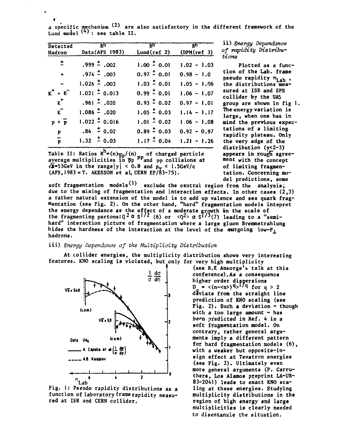a specific mechanism <sup>\2</sup>/ are also satisfactory in the different framework of the Lund model  $\forall$ ': see table II.

| Detected<br>Hadron    | $\overline{R}$ h<br>Data(AFS 1983) | $R_{\rm H}$<br>Lund(ref 2)     | R <sub>h</sub><br>(DPM(ref 3)) |
|-----------------------|------------------------------------|--------------------------------|--------------------------------|
|                       |                                    |                                |                                |
| $\pm$                 | $.999 \stackrel{+}{\cdot} .002$    | $1.00 \div 0.01$               | $1.02 - 1.03$                  |
| $\ddot{\bullet}$      | $.974 \pm .003$                    | $0.97 \stackrel{+}{\sim} 0.01$ | $0.98 - 1.0$                   |
| $\blacksquare$        | $1.026 \div 0.003$                 | $1.03 \div 0.01$               | $1.05 - 1.06$                  |
| $K^+$ + $K^-$         | $1.021 \div 0.013$                 | $0.99 \stackrel{+}{0} 0.01$    | $1.06 - 1.07$                  |
| $\kappa^+$            | $.961 \div .020$                   | $0.93 \div 0.02$               | $0.97 - 1.01$                  |
| $\kappa$ <sup>-</sup> | $1.086 \div 0.020$                 | $1.05 \div 0.03$               | $1.14 - 1.17$                  |
| $p + \overline{p}$    | $1.022 \pm 0.016$                  | $1.01 \div 0.02$               | $1.06 - 1.08$                  |
| $\overline{P}$        | $.84 \pm 0.02$                     | $0.89 \div 0.03$               | $0.92 - 0.97$                  |
| $\bar{p}$             | $1.32 \div 0.03$                   | $1.17 \pm 0.04$                | $1.21 - 1.26$                  |

Table II: Ratios R"=(n)<sub>00</sub>/(n)<sub>10</sub> of charged particle **average multiplicities in "pp ""and pp collisions at**   $\sqrt{s}$ =53GeV in the range|y| < 0.8 and  $p_T$  < 1.5GeV/c **(AFS,1983=T. AKESS0N et al, CERN EP/63-75).** 

ii) *Energy Dépendance of rapidity Distributions* 

**Plotted as a function of the Lab. frame pseudo rapidity**  $n_{Lab}$ **, the distributions mea sured at ISR and SPS collider by the UA5 group are shown in fig 1.**  The energy variation is **large, when one has in mind the previous expectations of a limiting rapidity plateau. Only the very edge of the distribution (y<2-3)**  appears in rough agree**ment with the concept of limiting fragmen**tation. Concerning mo**del predictions, some** 

soft fragmentation models<sup>(1)</sup> exclude the central region from the analysis; **due to the mixing of fragmentation and interaction effects. In other cases (2,3) a rather natural extension of the model is to add up valence and sea quark fragmentation (see Fig. 2) . On the other hand, "hard" fragmentation models intepret**  the energy dependance as the effect of a moderate growth in the scale of **the fragmenting partons:Q<sup>2Q</sup> S<sup>1/2</sup> (6) or <Q<sup>2</sup>>Q S<sup>1/3</sup>(7) leading to a "semihard" interaction picture of fragmentation where a large gluon Bremmstrahlung hides the hardness of the interaction at the level of the outgoing low-Pj\_ hadrons.** 

#### iii) *Energy Dépendance of the Multiplicity Distribution*

**At collider energies, the multiplicity distribution shows very interesting**  features. KNO scaling is violated, but only for very high multiplicity



**Fig. 1: Pseudo rapidity distributions as a function of laboratory frame rapidity measured at ISR and CERN collider.** 

**(see R.E Ansorge's talk at this conference).As a consequence higher order dispersions**   $D_{\rho} = \langle (n-\langle n \rangle)^{q} \rangle^{1/q}$  for  $q > 2$ **deviate from the straight line prediction of KN0 scaling (see Fig. 2) . Such a deviation \* though with a too large amount - has**  be<sup>n</sup> predicted in Ref. 4 in a **soft fragmentation model. On contrary, rather general arguments imply a different pattern for hard fragmentation models (6) , with a weaker but opposite-insign effect at Tevatron energies (see Fig. 2) . Ultimately even more general arguments (P. Carruthers, Los Alamos preprint LA-UR-83-2041) leads to exact KNO scaling at these energies. Studying multiplicity distributions in the region of high energy and large multiplicities is clearly needed to disentangle the situation.**